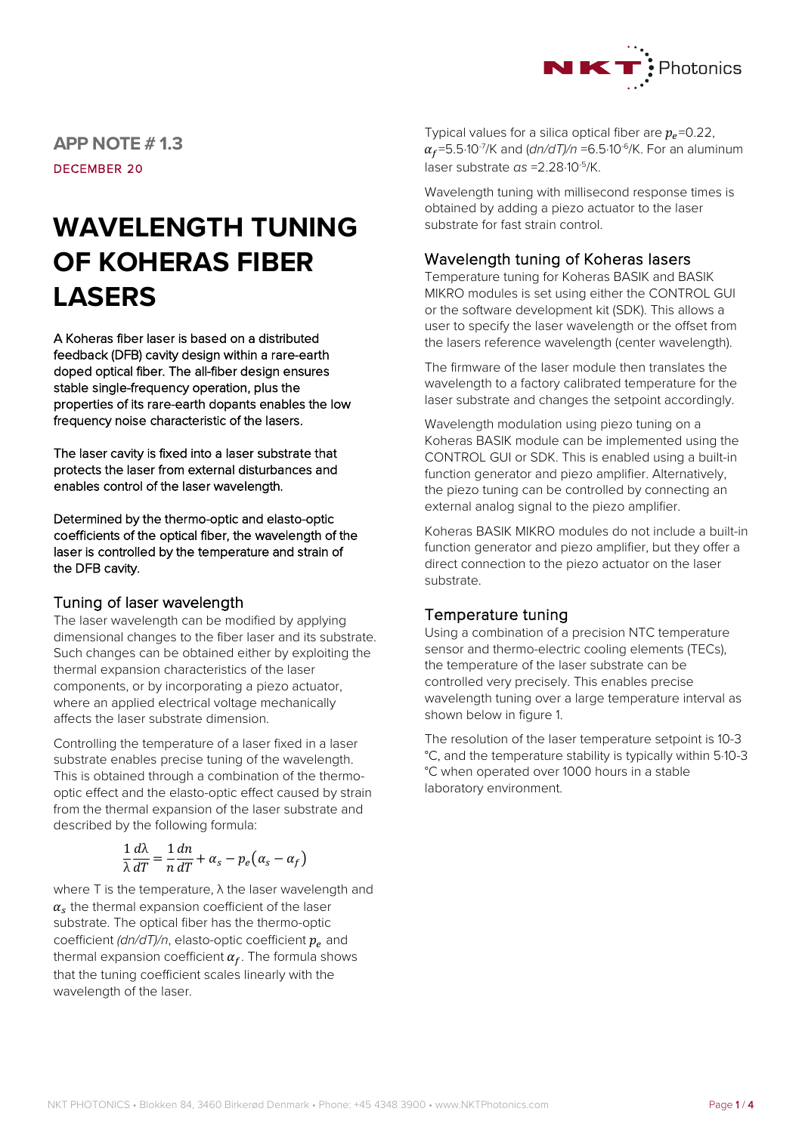

**APP NOTE # 1.3** DECEMBER 20

# **WAVELENGTH TUNING OF KOHERAS FIBER LASERS**

A Koheras fiber laser is based on a distributed feedback (DFB) cavity design within a rare-earth doped optical fiber. The all-fiber design ensures stable single-frequency operation, plus the properties of its rare-earth dopants enables the low frequency noise characteristic of the lasers.

The laser cavity is fixed into a laser substrate that protects the laser from external disturbances and enables control of the laser wavelength.

Determined by the thermo-optic and elasto-optic coefficients of the optical fiber, the wavelength of the laser is controlled by the temperature and strain of the DFB cavity.

### Tuning of laser wavelength

The laser wavelength can be modified by applying dimensional changes to the fiber laser and its substrate. Such changes can be obtained either by exploiting the thermal expansion characteristics of the laser components, or by incorporating a piezo actuator, where an applied electrical voltage mechanically affects the laser substrate dimension.

Controlling the temperature of a laser fixed in a laser substrate enables precise tuning of the wavelength. This is obtained through a combination of the thermooptic effect and the elasto-optic effect caused by strain from the thermal expansion of the laser substrate and described by the following formula:

$$
\frac{1}{\lambda} \frac{d\lambda}{dT} = \frac{1}{n} \frac{dn}{dT} + \alpha_s - p_e(\alpha_s - \alpha_f)
$$

where T is the temperature, λ the laser wavelength and  $\alpha_s$  the thermal expansion coefficient of the laser substrate. The optical fiber has the thermo-optic coefficient  $\frac{d\eta}{dT}$ , elasto-optic coefficient  $p_e$  and thermal expansion coefficient  $\alpha_f$ . The formula shows that the tuning coefficient scales linearly with the wavelength of the laser.

Typical values for a silica optical fiber are  $p_e$ =0.22,  $\alpha_f$ =5.5·10<sup>-7</sup>/K and (*dn/dT)/n* =6.5·10<sup>-6</sup>/K. For an aluminum laser substrate *αs* =2.28·10-5/K.

Wavelength tuning with millisecond response times is obtained by adding a piezo actuator to the laser substrate for fast strain control.

## Wavelength tuning of Koheras lasers

Temperature tuning for Koheras BASIK and BASIK MIKRO modules is set using either the CONTROL GUI or the software development kit (SDK). This allows a user to specify the laser wavelength or the offset from the lasers reference wavelength (center wavelength).

The firmware of the laser module then translates the wavelength to a factory calibrated temperature for the laser substrate and changes the setpoint accordingly.

Wavelength modulation using piezo tuning on a Koheras BASIK module can be implemented using the CONTROL GUI or SDK. This is enabled using a built-in function generator and piezo amplifier. Alternatively, the piezo tuning can be controlled by connecting an external analog signal to the piezo amplifier.

Koheras BASIK MIKRO modules do not include a built-in function generator and piezo amplifier, but they offer a direct connection to the piezo actuator on the laser substrate.

## Temperature tuning

Using a combination of a precision NTC temperature sensor and thermo-electric cooling elements (TECs), the temperature of the laser substrate can be controlled very precisely. This enables precise wavelength tuning over a large temperature interval as shown below in figure 1.

The resolution of the laser temperature setpoint is 10-3 °C, and the temperature stability is typically within 5∙10-3 °C when operated over 1000 hours in a stable laboratory environment.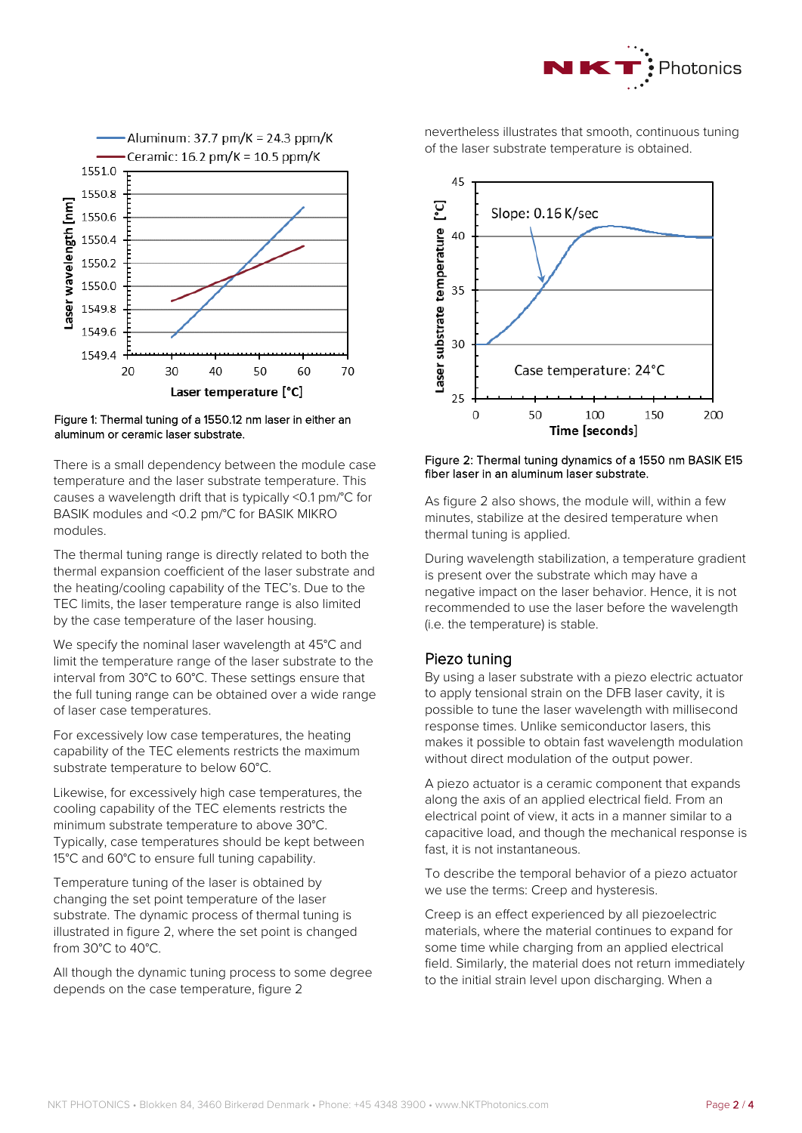



#### Figure 1: Thermal tuning of a 1550.12 nm laser in either an aluminum or ceramic laser substrate.

There is a small dependency between the module case temperature and the laser substrate temperature. This causes a wavelength drift that is typically <0.1 pm/°C for BASIK modules and <0.2 pm/°C for BASIK MIKRO modules.

The thermal tuning range is directly related to both the thermal expansion coefficient of the laser substrate and the heating/cooling capability of the TEC's. Due to the TEC limits, the laser temperature range is also limited by the case temperature of the laser housing.

We specify the nominal laser wavelength at 45°C and limit the temperature range of the laser substrate to the interval from 30°C to 60°C. These settings ensure that the full tuning range can be obtained over a wide range of laser case temperatures.

For excessively low case temperatures, the heating capability of the TEC elements restricts the maximum substrate temperature to below 60°C.

Likewise, for excessively high case temperatures, the cooling capability of the TEC elements restricts the minimum substrate temperature to above 30°C. Typically, case temperatures should be kept between 15°C and 60°C to ensure full tuning capability.

Temperature tuning of the laser is obtained by changing the set point temperature of the laser substrate. The dynamic process of thermal tuning is illustrated in figure 2, where the set point is changed from 30°C to 40°C.

All though the dynamic tuning process to some degree depends on the case temperature, figure 2

nevertheless illustrates that smooth, continuous tuning of the laser substrate temperature is obtained.



#### Figure 2: Thermal tuning dynamics of a 1550 nm BASIK E15 fiber laser in an aluminum laser substrate.

As figure 2 also shows, the module will, within a few minutes, stabilize at the desired temperature when thermal tuning is applied.

During wavelength stabilization, a temperature gradient is present over the substrate which may have a negative impact on the laser behavior. Hence, it is not recommended to use the laser before the wavelength (i.e. the temperature) is stable.

## Piezo tuning

By using a laser substrate with a piezo electric actuator to apply tensional strain on the DFB laser cavity, it is possible to tune the laser wavelength with millisecond response times. Unlike semiconductor lasers, this makes it possible to obtain fast wavelength modulation without direct modulation of the output power.

A piezo actuator is a ceramic component that expands along the axis of an applied electrical field. From an electrical point of view, it acts in a manner similar to a capacitive load, and though the mechanical response is fast, it is not instantaneous.

To describe the temporal behavior of a piezo actuator we use the terms: Creep and hysteresis.

Creep is an effect experienced by all piezoelectric materials, where the material continues to expand for some time while charging from an applied electrical field. Similarly, the material does not return immediately to the initial strain level upon discharging. When a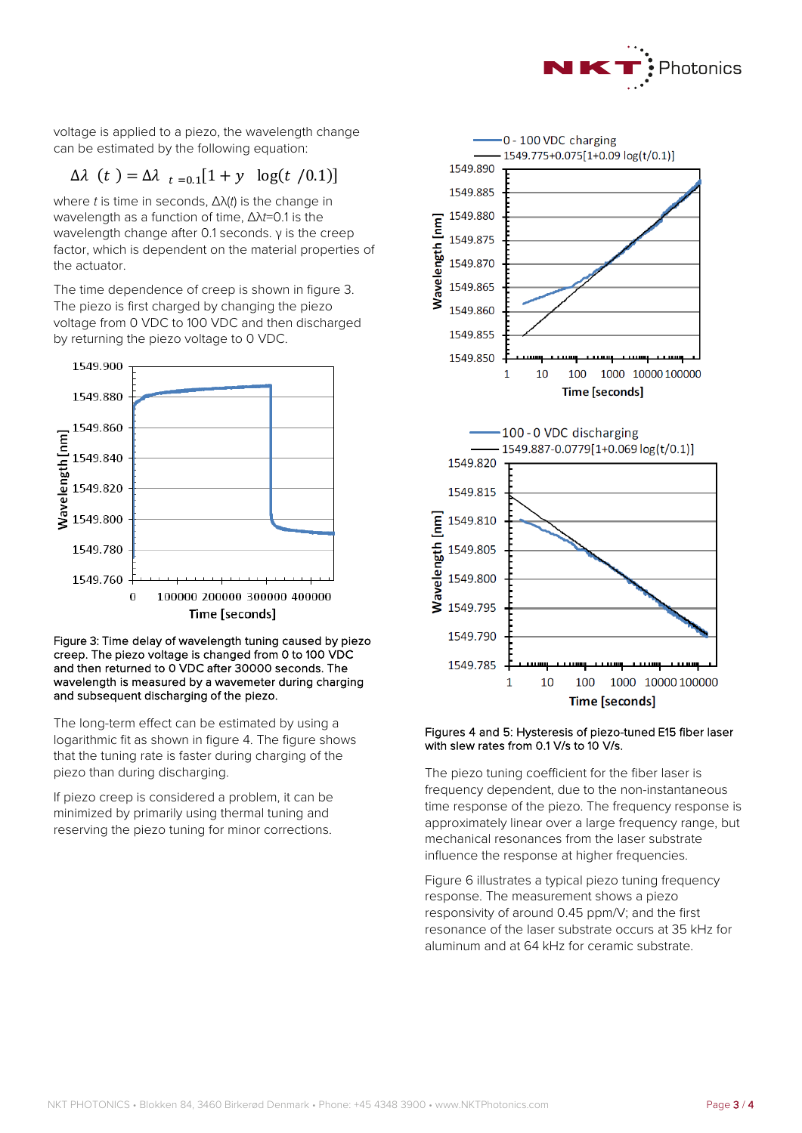

voltage is applied to a piezo, the wavelength change can be estimated by the following equation:

## $\Delta \lambda$  (*t*) =  $\Delta \lambda$ <sub>*t*=0.1</sub>[1 + y log(*t* /0.1)]

where *t* is time in seconds, Δλ(*t*) is the change in wavelength as a function of time, Δλ*t*=0.1 is the wavelength change after 0.1 seconds. γ is the creep factor, which is dependent on the material properties of the actuator.

The time dependence of creep is shown in figure 3. The piezo is first charged by changing the piezo voltage from 0 VDC to 100 VDC and then discharged by returning the piezo voltage to 0 VDC.



#### Figure 3: Time delay of wavelength tuning caused by piezo creep. The piezo voltage is changed from 0 to 100 VDC and then returned to 0 VDC after 30000 seconds. The wavelength is measured by a wavemeter during charging and subsequent discharging of the piezo.

The long-term effect can be estimated by using a logarithmic fit as shown in figure 4. The figure shows that the tuning rate is faster during charging of the piezo than during discharging.

If piezo creep is considered a problem, it can be minimized by primarily using thermal tuning and reserving the piezo tuning for minor corrections.



#### Figures 4 and 5: Hysteresis of piezo-tuned E15 fiber laser with slew rates from 0.1 V/s to 10 V/s.

The piezo tuning coefficient for the fiber laser is frequency dependent, due to the non-instantaneous time response of the piezo. The frequency response is approximately linear over a large frequency range, but mechanical resonances from the laser substrate influence the response at higher frequencies.

Figure 6 illustrates a typical piezo tuning frequency response. The measurement shows a piezo responsivity of around 0.45 ppm/V; and the first resonance of the laser substrate occurs at 35 kHz for aluminum and at 64 kHz for ceramic substrate.